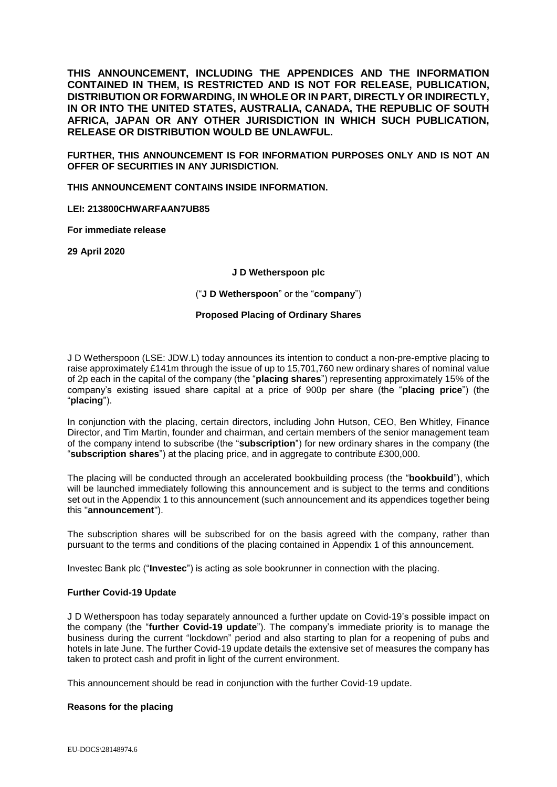**THIS ANNOUNCEMENT, INCLUDING THE APPENDICES AND THE INFORMATION CONTAINED IN THEM, IS RESTRICTED AND IS NOT FOR RELEASE, PUBLICATION, DISTRIBUTION OR FORWARDING, IN WHOLE OR IN PART, DIRECTLY OR INDIRECTLY, IN OR INTO THE UNITED STATES, AUSTRALIA, CANADA, THE REPUBLIC OF SOUTH AFRICA, JAPAN OR ANY OTHER JURISDICTION IN WHICH SUCH PUBLICATION, RELEASE OR DISTRIBUTION WOULD BE UNLAWFUL.**

**FURTHER, THIS ANNOUNCEMENT IS FOR INFORMATION PURPOSES ONLY AND IS NOT AN OFFER OF SECURITIES IN ANY JURISDICTION.**

**THIS ANNOUNCEMENT CONTAINS INSIDE INFORMATION.**

**LEI: 213800CHWARFAAN7UB85**

**For immediate release**

**29 April 2020**

#### **J D Wetherspoon plc**

("**J D Wetherspoon**" or the "**company**")

### **Proposed Placing of Ordinary Shares**

J D Wetherspoon (LSE: JDW.L) today announces its intention to conduct a non-pre-emptive placing to raise approximately £141m through the issue of up to 15,701,760 new ordinary shares of nominal value of 2p each in the capital of the company (the "**placing shares**") representing approximately 15% of the company's existing issued share capital at a price of 900p per share (the "**placing price**") (the "**placing**").

In conjunction with the placing, certain directors, including John Hutson, CEO, Ben Whitley, Finance Director, and Tim Martin, founder and chairman, and certain members of the senior management team of the company intend to subscribe (the "**subscription**") for new ordinary shares in the company (the "**subscription shares**") at the placing price, and in aggregate to contribute £300,000.

The placing will be conducted through an accelerated bookbuilding process (the "**bookbuild**"), which will be launched immediately following this announcement and is subject to the terms and conditions set out in the Appendix 1 to this announcement (such announcement and its appendices together being this "**announcement**").

The subscription shares will be subscribed for on the basis agreed with the company, rather than pursuant to the terms and conditions of the placing contained in Appendix 1 of this announcement.

Investec Bank plc ("**Investec**") is acting as sole bookrunner in connection with the placing.

### **Further Covid-19 Update**

J D Wetherspoon has today separately announced a further update on Covid-19's possible impact on the company (the "**further Covid-19 update**"). The company's immediate priority is to manage the business during the current "lockdown" period and also starting to plan for a reopening of pubs and hotels in late June. The further Covid-19 update details the extensive set of measures the company has taken to protect cash and profit in light of the current environment.

This announcement should be read in conjunction with the further Covid-19 update.

### **Reasons for the placing**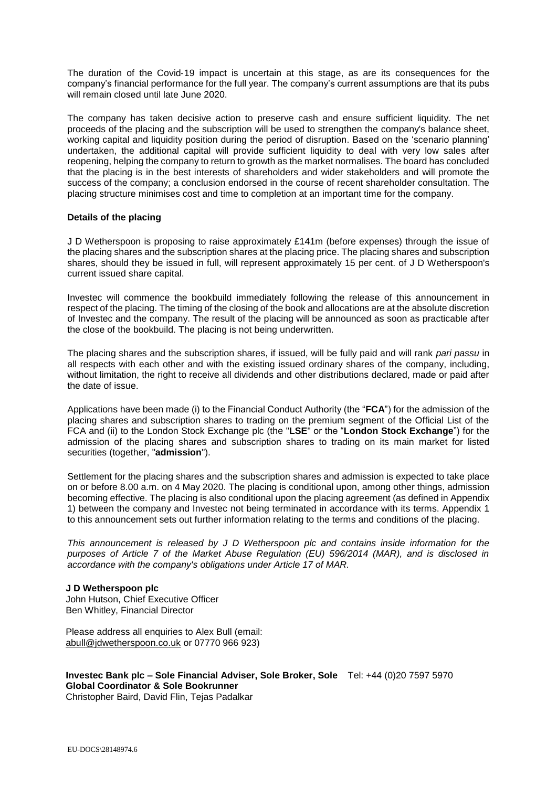The duration of the Covid-19 impact is uncertain at this stage, as are its consequences for the company's financial performance for the full year. The company's current assumptions are that its pubs will remain closed until late June 2020.

The company has taken decisive action to preserve cash and ensure sufficient liquidity. The net proceeds of the placing and the subscription will be used to strengthen the company's balance sheet, working capital and liquidity position during the period of disruption. Based on the 'scenario planning' undertaken, the additional capital will provide sufficient liquidity to deal with very low sales after reopening, helping the company to return to growth as the market normalises. The board has concluded that the placing is in the best interests of shareholders and wider stakeholders and will promote the success of the company; a conclusion endorsed in the course of recent shareholder consultation. The placing structure minimises cost and time to completion at an important time for the company.

### **Details of the placing**

J D Wetherspoon is proposing to raise approximately £141m (before expenses) through the issue of the placing shares and the subscription shares at the placing price. The placing shares and subscription shares, should they be issued in full, will represent approximately 15 per cent. of J D Wetherspoon's current issued share capital.

Investec will commence the bookbuild immediately following the release of this announcement in respect of the placing. The timing of the closing of the book and allocations are at the absolute discretion of Investec and the company. The result of the placing will be announced as soon as practicable after the close of the bookbuild. The placing is not being underwritten.

The placing shares and the subscription shares, if issued, will be fully paid and will rank *pari passu* in all respects with each other and with the existing issued ordinary shares of the company, including, without limitation, the right to receive all dividends and other distributions declared, made or paid after the date of issue.

Applications have been made (i) to the Financial Conduct Authority (the "**FCA**") for the admission of the placing shares and subscription shares to trading on the premium segment of the Official List of the FCA and (ii) to the London Stock Exchange plc (the "**LSE**" or the "**London Stock Exchange**") for the admission of the placing shares and subscription shares to trading on its main market for listed securities (together, "**admission**").

Settlement for the placing shares and the subscription shares and admission is expected to take place on or before 8.00 a.m. on 4 May 2020. The placing is conditional upon, among other things, admission becoming effective. The placing is also conditional upon the placing agreement (as defined in Appendix 1) between the company and Investec not being terminated in accordance with its terms. Appendix 1 to this announcement sets out further information relating to the terms and conditions of the placing.

*This announcement is released by J D Wetherspoon plc and contains inside information for the purposes of Article 7 of the Market Abuse Regulation (EU) 596/2014 (MAR), and is disclosed in accordance with the company's obligations under Article 17 of MAR.*

### **J D Wetherspoon plc**

John Hutson, Chief Executive Officer Ben Whitley, Financial Director

Please address all enquiries to Alex Bull (email: [abull@jdwetherspoon.co.uk](mailto:abull@jdwetherspoon.co.uk) or 07770 966 923)

**Investec Bank plc – Sole Financial Adviser, Sole Broker, Sole**  Tel: +44 (0)20 7597 5970 **Global Coordinator & Sole Bookrunner**

Christopher Baird, David Flin, Tejas Padalkar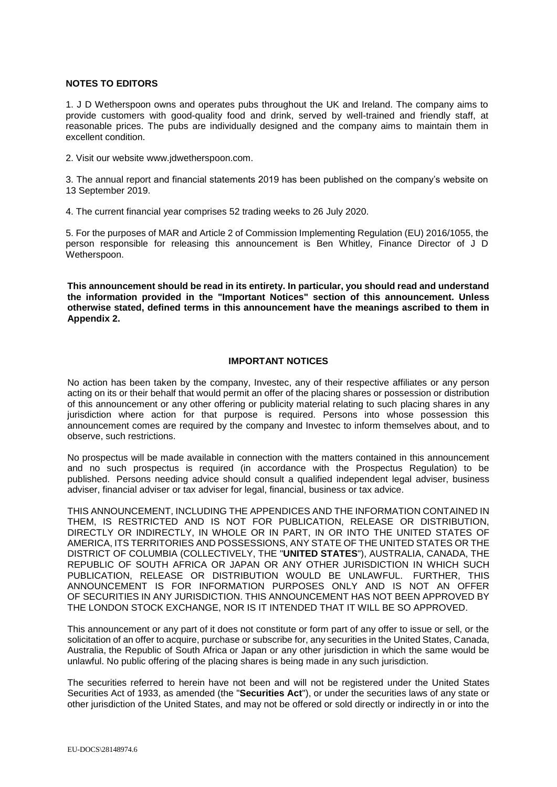## **NOTES TO EDITORS**

1. J D Wetherspoon owns and operates pubs throughout the UK and Ireland. The company aims to provide customers with good-quality food and drink, served by well-trained and friendly staff, at reasonable prices. The pubs are individually designed and the company aims to maintain them in excellent condition.

2. Visit our website www.jdwetherspoon.com.

3. The annual report and financial statements 2019 has been published on the company's website on 13 September 2019.

4. The current financial year comprises 52 trading weeks to 26 July 2020.

5. For the purposes of MAR and Article 2 of Commission Implementing Regulation (EU) 2016/1055, the person responsible for releasing this announcement is Ben Whitley, Finance Director of J D Wetherspoon.

**This announcement should be read in its entirety. In particular, you should read and understand the information provided in the "Important Notices" section of this announcement. Unless otherwise stated, defined terms in this announcement have the meanings ascribed to them in Appendix 2.**

### **IMPORTANT NOTICES**

No action has been taken by the company, Investec, any of their respective affiliates or any person acting on its or their behalf that would permit an offer of the placing shares or possession or distribution of this announcement or any other offering or publicity material relating to such placing shares in any jurisdiction where action for that purpose is required. Persons into whose possession this announcement comes are required by the company and Investec to inform themselves about, and to observe, such restrictions.

No prospectus will be made available in connection with the matters contained in this announcement and no such prospectus is required (in accordance with the Prospectus Regulation) to be published. Persons needing advice should consult a qualified independent legal adviser, business adviser, financial adviser or tax adviser for legal, financial, business or tax advice.

THIS ANNOUNCEMENT, INCLUDING THE APPENDICES AND THE INFORMATION CONTAINED IN THEM, IS RESTRICTED AND IS NOT FOR PUBLICATION, RELEASE OR DISTRIBUTION, DIRECTLY OR INDIRECTLY, IN WHOLE OR IN PART, IN OR INTO THE UNITED STATES OF AMERICA, ITS TERRITORIES AND POSSESSIONS, ANY STATE OF THE UNITED STATES OR THE DISTRICT OF COLUMBIA (COLLECTIVELY, THE "**UNITED STATES**"), AUSTRALIA, CANADA, THE REPUBLIC OF SOUTH AFRICA OR JAPAN OR ANY OTHER JURISDICTION IN WHICH SUCH PUBLICATION, RELEASE OR DISTRIBUTION WOULD BE UNLAWFUL. FURTHER, THIS ANNOUNCEMENT IS FOR INFORMATION PURPOSES ONLY AND IS NOT AN OFFER OF SECURITIES IN ANY JURISDICTION. THIS ANNOUNCEMENT HAS NOT BEEN APPROVED BY THE LONDON STOCK EXCHANGE, NOR IS IT INTENDED THAT IT WILL BE SO APPROVED.

This announcement or any part of it does not constitute or form part of any offer to issue or sell, or the solicitation of an offer to acquire, purchase or subscribe for, any securities in the United States, Canada, Australia, the Republic of South Africa or Japan or any other jurisdiction in which the same would be unlawful. No public offering of the placing shares is being made in any such jurisdiction.

The securities referred to herein have not been and will not be registered under the United States Securities Act of 1933, as amended (the "**Securities Act**"), or under the securities laws of any state or other jurisdiction of the United States, and may not be offered or sold directly or indirectly in or into the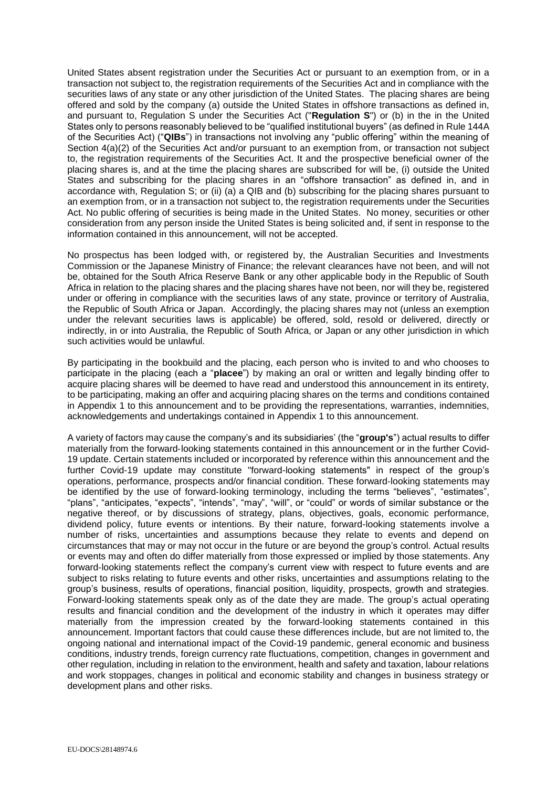United States absent registration under the Securities Act or pursuant to an exemption from, or in a transaction not subject to, the registration requirements of the Securities Act and in compliance with the securities laws of any state or any other jurisdiction of the United States. The placing shares are being offered and sold by the company (a) outside the United States in offshore transactions as defined in, and pursuant to, Regulation S under the Securities Act ("**Regulation S**") or (b) in the in the United States only to persons reasonably believed to be "qualified institutional buyers" (as defined in Rule 144A of the Securities Act) ("**QIBs**") in transactions not involving any "public offering" within the meaning of Section 4(a)(2) of the Securities Act and/or pursuant to an exemption from, or transaction not subject to, the registration requirements of the Securities Act. It and the prospective beneficial owner of the placing shares is, and at the time the placing shares are subscribed for will be, (i) outside the United States and subscribing for the placing shares in an "offshore transaction" as defined in, and in accordance with, Regulation S; or (ii) (a) a QIB and (b) subscribing for the placing shares pursuant to an exemption from, or in a transaction not subject to, the registration requirements under the Securities Act. No public offering of securities is being made in the United States. No money, securities or other consideration from any person inside the United States is being solicited and, if sent in response to the information contained in this announcement, will not be accepted.

No prospectus has been lodged with, or registered by, the Australian Securities and Investments Commission or the Japanese Ministry of Finance; the relevant clearances have not been, and will not be, obtained for the South Africa Reserve Bank or any other applicable body in the Republic of South Africa in relation to the placing shares and the placing shares have not been, nor will they be, registered under or offering in compliance with the securities laws of any state, province or territory of Australia, the Republic of South Africa or Japan. Accordingly, the placing shares may not (unless an exemption under the relevant securities laws is applicable) be offered, sold, resold or delivered, directly or indirectly, in or into Australia, the Republic of South Africa, or Japan or any other jurisdiction in which such activities would be unlawful.

By participating in the bookbuild and the placing, each person who is invited to and who chooses to participate in the placing (each a "**placee**") by making an oral or written and legally binding offer to acquire placing shares will be deemed to have read and understood this announcement in its entirety, to be participating, making an offer and acquiring placing shares on the terms and conditions contained in Appendix 1 to this announcement and to be providing the representations, warranties, indemnities, acknowledgements and undertakings contained in Appendix 1 to this announcement.

A variety of factors may cause the company's and its subsidiaries' (the "**group's**") actual results to differ materially from the forward‐looking statements contained in this announcement or in the further Covid-19 update. Certain statements included or incorporated by reference within this announcement and the further Covid-19 update may constitute "forward-looking statements" in respect of the group's operations, performance, prospects and/or financial condition. These forward‐looking statements may be identified by the use of forward-looking terminology, including the terms "believes", "estimates", "plans", "anticipates, "expects", "intends", "may", "will", or "could" or words of similar substance or the negative thereof, or by discussions of strategy, plans, objectives, goals, economic performance, dividend policy, future events or intentions. By their nature, forward-looking statements involve a number of risks, uncertainties and assumptions because they relate to events and depend on circumstances that may or may not occur in the future or are beyond the group's control. Actual results or events may and often do differ materially from those expressed or implied by those statements. Any forward-looking statements reflect the company's current view with respect to future events and are subject to risks relating to future events and other risks, uncertainties and assumptions relating to the group's business, results of operations, financial position, liquidity, prospects, growth and strategies. Forward‐looking statements speak only as of the date they are made. The group's actual operating results and financial condition and the development of the industry in which it operates may differ materially from the impression created by the forward‐looking statements contained in this announcement. Important factors that could cause these differences include, but are not limited to, the ongoing national and international impact of the Covid-19 pandemic, general economic and business conditions, industry trends, foreign currency rate fluctuations, competition, changes in government and other regulation, including in relation to the environment, health and safety and taxation, labour relations and work stoppages, changes in political and economic stability and changes in business strategy or development plans and other risks.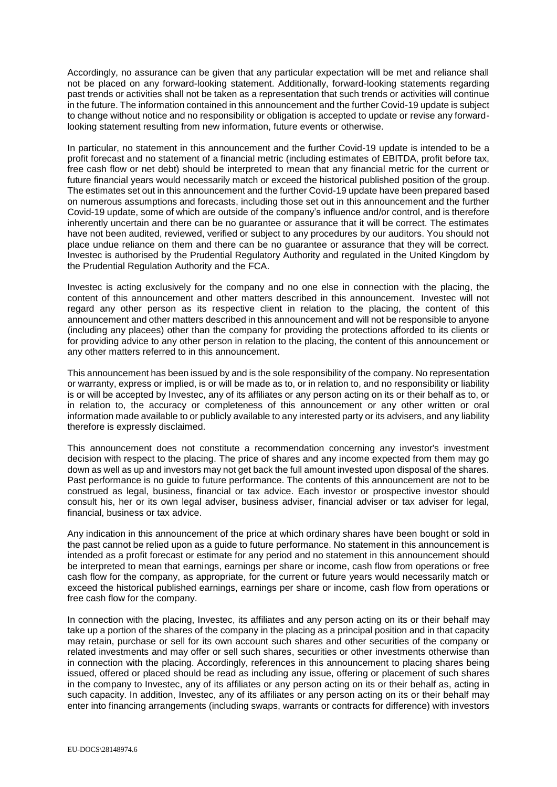Accordingly, no assurance can be given that any particular expectation will be met and reliance shall not be placed on any forward-looking statement. Additionally, forward-looking statements regarding past trends or activities shall not be taken as a representation that such trends or activities will continue in the future. The information contained in this announcement and the further Covid-19 update is subject to change without notice and no responsibility or obligation is accepted to update or revise any forwardlooking statement resulting from new information, future events or otherwise.

In particular, no statement in this announcement and the further Covid-19 update is intended to be a profit forecast and no statement of a financial metric (including estimates of EBITDA, profit before tax, free cash flow or net debt) should be interpreted to mean that any financial metric for the current or future financial years would necessarily match or exceed the historical published position of the group. The estimates set out in this announcement and the further Covid-19 update have been prepared based on numerous assumptions and forecasts, including those set out in this announcement and the further Covid-19 update, some of which are outside of the company's influence and/or control, and is therefore inherently uncertain and there can be no guarantee or assurance that it will be correct. The estimates have not been audited, reviewed, verified or subject to any procedures by our auditors. You should not place undue reliance on them and there can be no guarantee or assurance that they will be correct. Investec is authorised by the Prudential Regulatory Authority and regulated in the United Kingdom by the Prudential Regulation Authority and the FCA.

Investec is acting exclusively for the company and no one else in connection with the placing, the content of this announcement and other matters described in this announcement. Investec will not regard any other person as its respective client in relation to the placing, the content of this announcement and other matters described in this announcement and will not be responsible to anyone (including any placees) other than the company for providing the protections afforded to its clients or for providing advice to any other person in relation to the placing, the content of this announcement or any other matters referred to in this announcement.

This announcement has been issued by and is the sole responsibility of the company. No representation or warranty, express or implied, is or will be made as to, or in relation to, and no responsibility or liability is or will be accepted by Investec, any of its affiliates or any person acting on its or their behalf as to, or in relation to, the accuracy or completeness of this announcement or any other written or oral information made available to or publicly available to any interested party or its advisers, and any liability therefore is expressly disclaimed.

This announcement does not constitute a recommendation concerning any investor's investment decision with respect to the placing. The price of shares and any income expected from them may go down as well as up and investors may not get back the full amount invested upon disposal of the shares. Past performance is no guide to future performance. The contents of this announcement are not to be construed as legal, business, financial or tax advice. Each investor or prospective investor should consult his, her or its own legal adviser, business adviser, financial adviser or tax adviser for legal, financial, business or tax advice.

Any indication in this announcement of the price at which ordinary shares have been bought or sold in the past cannot be relied upon as a guide to future performance. No statement in this announcement is intended as a profit forecast or estimate for any period and no statement in this announcement should be interpreted to mean that earnings, earnings per share or income, cash flow from operations or free cash flow for the company, as appropriate, for the current or future years would necessarily match or exceed the historical published earnings, earnings per share or income, cash flow from operations or free cash flow for the company.

In connection with the placing, Investec, its affiliates and any person acting on its or their behalf may take up a portion of the shares of the company in the placing as a principal position and in that capacity may retain, purchase or sell for its own account such shares and other securities of the company or related investments and may offer or sell such shares, securities or other investments otherwise than in connection with the placing. Accordingly, references in this announcement to placing shares being issued, offered or placed should be read as including any issue, offering or placement of such shares in the company to Investec, any of its affiliates or any person acting on its or their behalf as, acting in such capacity. In addition, Investec, any of its affiliates or any person acting on its or their behalf may enter into financing arrangements (including swaps, warrants or contracts for difference) with investors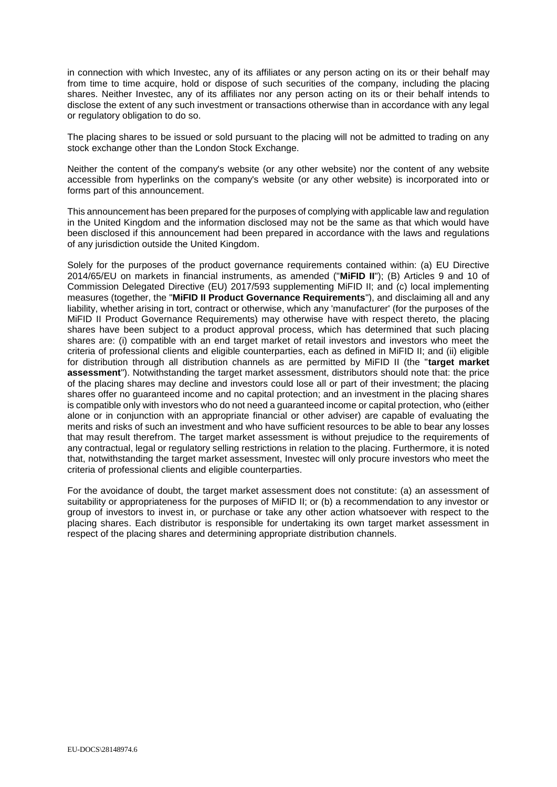in connection with which Investec, any of its affiliates or any person acting on its or their behalf may from time to time acquire, hold or dispose of such securities of the company, including the placing shares. Neither Investec, any of its affiliates nor any person acting on its or their behalf intends to disclose the extent of any such investment or transactions otherwise than in accordance with any legal or regulatory obligation to do so.

The placing shares to be issued or sold pursuant to the placing will not be admitted to trading on any stock exchange other than the London Stock Exchange.

Neither the content of the company's website (or any other website) nor the content of any website accessible from hyperlinks on the company's website (or any other website) is incorporated into or forms part of this announcement.

This announcement has been prepared for the purposes of complying with applicable law and regulation in the United Kingdom and the information disclosed may not be the same as that which would have been disclosed if this announcement had been prepared in accordance with the laws and regulations of any jurisdiction outside the United Kingdom.

Solely for the purposes of the product governance requirements contained within: (a) EU Directive 2014/65/EU on markets in financial instruments, as amended ("**MiFID II**"); (B) Articles 9 and 10 of Commission Delegated Directive (EU) 2017/593 supplementing MiFID II; and (c) local implementing measures (together, the "**MiFID II Product Governance Requirements**"), and disclaiming all and any liability, whether arising in tort, contract or otherwise, which any 'manufacturer' (for the purposes of the MiFID II Product Governance Requirements) may otherwise have with respect thereto, the placing shares have been subject to a product approval process, which has determined that such placing shares are: (i) compatible with an end target market of retail investors and investors who meet the criteria of professional clients and eligible counterparties, each as defined in MiFID II; and (ii) eligible for distribution through all distribution channels as are permitted by MiFID II (the "**target market assessment**"). Notwithstanding the target market assessment, distributors should note that: the price of the placing shares may decline and investors could lose all or part of their investment; the placing shares offer no guaranteed income and no capital protection; and an investment in the placing shares is compatible only with investors who do not need a guaranteed income or capital protection, who (either alone or in conjunction with an appropriate financial or other adviser) are capable of evaluating the merits and risks of such an investment and who have sufficient resources to be able to bear any losses that may result therefrom. The target market assessment is without prejudice to the requirements of any contractual, legal or regulatory selling restrictions in relation to the placing. Furthermore, it is noted that, notwithstanding the target market assessment, Investec will only procure investors who meet the criteria of professional clients and eligible counterparties.

For the avoidance of doubt, the target market assessment does not constitute: (a) an assessment of suitability or appropriateness for the purposes of MiFID II; or (b) a recommendation to any investor or group of investors to invest in, or purchase or take any other action whatsoever with respect to the placing shares. Each distributor is responsible for undertaking its own target market assessment in respect of the placing shares and determining appropriate distribution channels.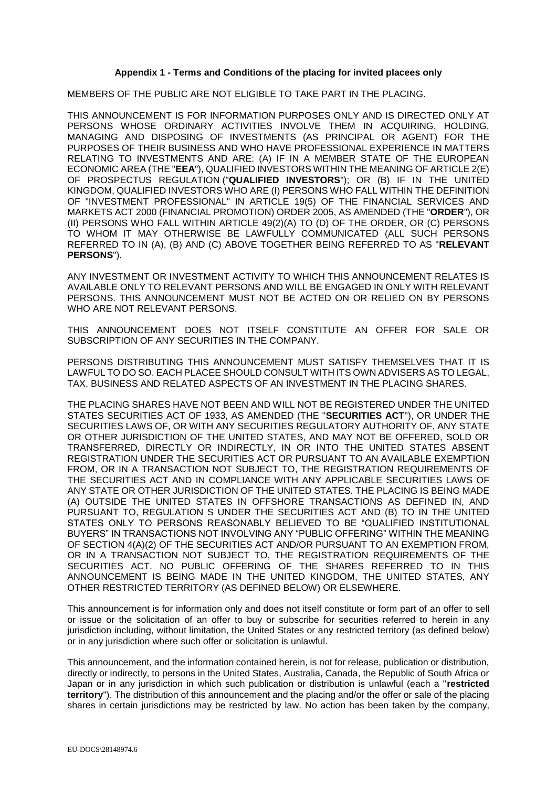### **Appendix 1 - Terms and Conditions of the placing for invited placees only**

MEMBERS OF THE PUBLIC ARE NOT ELIGIBLE TO TAKE PART IN THE PLACING.

THIS ANNOUNCEMENT IS FOR INFORMATION PURPOSES ONLY AND IS DIRECTED ONLY AT PERSONS WHOSE ORDINARY ACTIVITIES INVOLVE THEM IN ACQUIRING, HOLDING, MANAGING AND DISPOSING OF INVESTMENTS (AS PRINCIPAL OR AGENT) FOR THE PURPOSES OF THEIR BUSINESS AND WHO HAVE PROFESSIONAL EXPERIENCE IN MATTERS RELATING TO INVESTMENTS AND ARE: (A) IF IN A MEMBER STATE OF THE EUROPEAN ECONOMIC AREA (THE "**EEA**"), QUALIFIED INVESTORS WITHIN THE MEANING OF ARTICLE 2(E) OF PROSPECTUS REGULATION ("**QUALIFIED INVESTORS**"); OR (B) IF IN THE UNITED KINGDOM, QUALIFIED INVESTORS WHO ARE (I) PERSONS WHO FALL WITHIN THE DEFINITION OF "INVESTMENT PROFESSIONAL" IN ARTICLE 19(5) OF THE FINANCIAL SERVICES AND MARKETS ACT 2000 (FINANCIAL PROMOTION) ORDER 2005, AS AMENDED (THE "**ORDER**"), OR (II) PERSONS WHO FALL WITHIN ARTICLE 49(2)(A) TO (D) OF THE ORDER, OR (C) PERSONS TO WHOM IT MAY OTHERWISE BE LAWFULLY COMMUNICATED (ALL SUCH PERSONS REFERRED TO IN (A), (B) AND (C) ABOVE TOGETHER BEING REFERRED TO AS "**RELEVANT PERSONS**").

ANY INVESTMENT OR INVESTMENT ACTIVITY TO WHICH THIS ANNOUNCEMENT RELATES IS AVAILABLE ONLY TO RELEVANT PERSONS AND WILL BE ENGAGED IN ONLY WITH RELEVANT PERSONS. THIS ANNOUNCEMENT MUST NOT BE ACTED ON OR RELIED ON BY PERSONS WHO ARE NOT RELEVANT PERSONS.

THIS ANNOUNCEMENT DOES NOT ITSELF CONSTITUTE AN OFFER FOR SALE OR SUBSCRIPTION OF ANY SECURITIES IN THE COMPANY.

PERSONS DISTRIBUTING THIS ANNOUNCEMENT MUST SATISFY THEMSELVES THAT IT IS LAWFUL TO DO SO. EACH PLACEE SHOULD CONSULT WITH ITS OWN ADVISERS AS TO LEGAL, TAX, BUSINESS AND RELATED ASPECTS OF AN INVESTMENT IN THE PLACING SHARES.

THE PLACING SHARES HAVE NOT BEEN AND WILL NOT BE REGISTERED UNDER THE UNITED STATES SECURITIES ACT OF 1933, AS AMENDED (THE "**SECURITIES ACT**"), OR UNDER THE SECURITIES LAWS OF, OR WITH ANY SECURITIES REGULATORY AUTHORITY OF, ANY STATE OR OTHER JURISDICTION OF THE UNITED STATES, AND MAY NOT BE OFFERED, SOLD OR TRANSFERRED, DIRECTLY OR INDIRECTLY, IN OR INTO THE UNITED STATES ABSENT REGISTRATION UNDER THE SECURITIES ACT OR PURSUANT TO AN AVAILABLE EXEMPTION FROM, OR IN A TRANSACTION NOT SUBJECT TO, THE REGISTRATION REQUIREMENTS OF THE SECURITIES ACT AND IN COMPLIANCE WITH ANY APPLICABLE SECURITIES LAWS OF ANY STATE OR OTHER JURISDICTION OF THE UNITED STATES. THE PLACING IS BEING MADE (A) OUTSIDE THE UNITED STATES IN OFFSHORE TRANSACTIONS AS DEFINED IN, AND PURSUANT TO, REGULATION S UNDER THE SECURITIES ACT AND (B) TO IN THE UNITED STATES ONLY TO PERSONS REASONABLY BELIEVED TO BE "QUALIFIED INSTITUTIONAL BUYERS" IN TRANSACTIONS NOT INVOLVING ANY "PUBLIC OFFERING" WITHIN THE MEANING OF SECTION 4(A)(2) OF THE SECURITIES ACT AND/OR PURSUANT TO AN EXEMPTION FROM, OR IN A TRANSACTION NOT SUBJECT TO, THE REGISTRATION REQUIREMENTS OF THE SECURITIES ACT. NO PUBLIC OFFERING OF THE SHARES REFERRED TO IN THIS ANNOUNCEMENT IS BEING MADE IN THE UNITED KINGDOM, THE UNITED STATES, ANY OTHER RESTRICTED TERRITORY (AS DEFINED BELOW) OR ELSEWHERE.

This announcement is for information only and does not itself constitute or form part of an offer to sell or issue or the solicitation of an offer to buy or subscribe for securities referred to herein in any jurisdiction including, without limitation, the United States or any restricted territory (as defined below) or in any jurisdiction where such offer or solicitation is unlawful.

This announcement, and the information contained herein, is not for release, publication or distribution, directly or indirectly, to persons in the United States, Australia, Canada, the Republic of South Africa or Japan or in any jurisdiction in which such publication or distribution is unlawful (each a "**restricted territory**"). The distribution of this announcement and the placing and/or the offer or sale of the placing shares in certain jurisdictions may be restricted by law. No action has been taken by the company,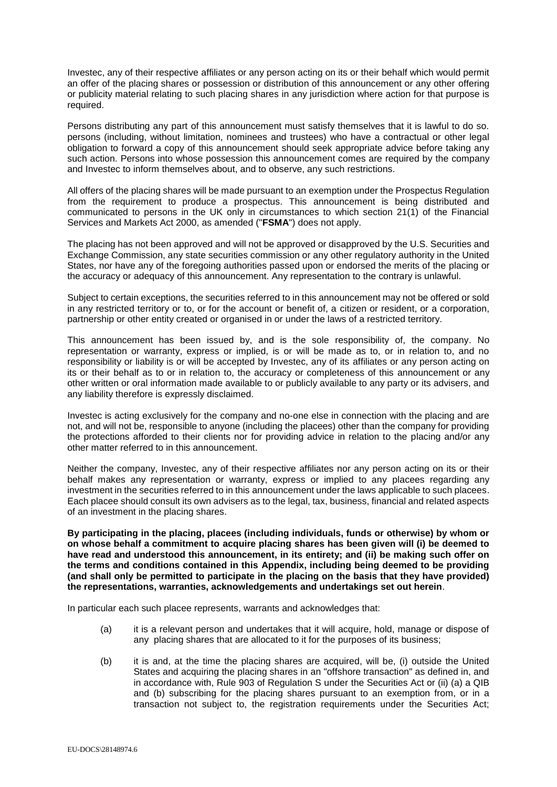Investec, any of their respective affiliates or any person acting on its or their behalf which would permit an offer of the placing shares or possession or distribution of this announcement or any other offering or publicity material relating to such placing shares in any jurisdiction where action for that purpose is required.

Persons distributing any part of this announcement must satisfy themselves that it is lawful to do so. persons (including, without limitation, nominees and trustees) who have a contractual or other legal obligation to forward a copy of this announcement should seek appropriate advice before taking any such action. Persons into whose possession this announcement comes are required by the company and Investec to inform themselves about, and to observe, any such restrictions.

All offers of the placing shares will be made pursuant to an exemption under the Prospectus Regulation from the requirement to produce a prospectus. This announcement is being distributed and communicated to persons in the UK only in circumstances to which section 21(1) of the Financial Services and Markets Act 2000, as amended ("**FSMA**") does not apply.

The placing has not been approved and will not be approved or disapproved by the U.S. Securities and Exchange Commission, any state securities commission or any other regulatory authority in the United States, nor have any of the foregoing authorities passed upon or endorsed the merits of the placing or the accuracy or adequacy of this announcement. Any representation to the contrary is unlawful.

Subject to certain exceptions, the securities referred to in this announcement may not be offered or sold in any restricted territory or to, or for the account or benefit of, a citizen or resident, or a corporation, partnership or other entity created or organised in or under the laws of a restricted territory.

This announcement has been issued by, and is the sole responsibility of, the company. No representation or warranty, express or implied, is or will be made as to, or in relation to, and no responsibility or liability is or will be accepted by Investec, any of its affiliates or any person acting on its or their behalf as to or in relation to, the accuracy or completeness of this announcement or any other written or oral information made available to or publicly available to any party or its advisers, and any liability therefore is expressly disclaimed.

Investec is acting exclusively for the company and no-one else in connection with the placing and are not, and will not be, responsible to anyone (including the placees) other than the company for providing the protections afforded to their clients nor for providing advice in relation to the placing and/or any other matter referred to in this announcement.

Neither the company, Investec, any of their respective affiliates nor any person acting on its or their behalf makes any representation or warranty, express or implied to any placees regarding any investment in the securities referred to in this announcement under the laws applicable to such placees. Each placee should consult its own advisers as to the legal, tax, business, financial and related aspects of an investment in the placing shares.

**By participating in the placing, placees (including individuals, funds or otherwise) by whom or on whose behalf a commitment to acquire placing shares has been given will (i) be deemed to have read and understood this announcement, in its entirety; and (ii) be making such offer on the terms and conditions contained in this Appendix, including being deemed to be providing (and shall only be permitted to participate in the placing on the basis that they have provided) the representations, warranties, acknowledgements and undertakings set out herein**.

In particular each such placee represents, warrants and acknowledges that:

- (a) it is a relevant person and undertakes that it will acquire, hold, manage or dispose of any placing shares that are allocated to it for the purposes of its business;
- (b) it is and, at the time the placing shares are acquired, will be, (i) outside the United States and acquiring the placing shares in an "offshore transaction" as defined in, and in accordance with, Rule 903 of Regulation S under the Securities Act or (ii) (a) a QIB and (b) subscribing for the placing shares pursuant to an exemption from, or in a transaction not subject to, the registration requirements under the Securities Act;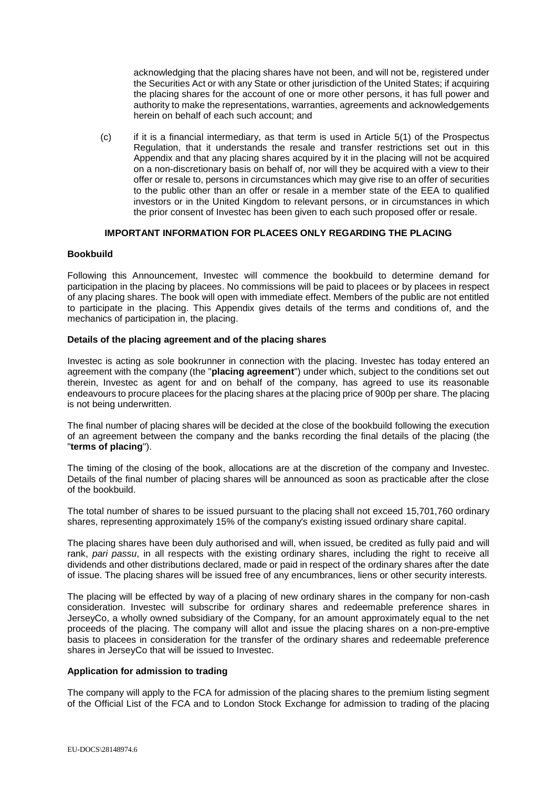acknowledging that the placing shares have not been, and will not be, registered under the Securities Act or with any State or other jurisdiction of the United States; if acquiring the placing shares for the account of one or more other persons, it has full power and authority to make the representations, warranties, agreements and acknowledgements herein on behalf of each such account; and

(c) if it is a financial intermediary, as that term is used in Article 5(1) of the Prospectus Regulation, that it understands the resale and transfer restrictions set out in this Appendix and that any placing shares acquired by it in the placing will not be acquired on a non-discretionary basis on behalf of, nor will they be acquired with a view to their offer or resale to, persons in circumstances which may give rise to an offer of securities to the public other than an offer or resale in a member state of the EEA to qualified investors or in the United Kingdom to relevant persons, or in circumstances in which the prior consent of Investec has been given to each such proposed offer or resale.

## **IMPORTANT INFORMATION FOR PLACEES ONLY REGARDING THE PLACING**

## **Bookbuild**

Following this Announcement, Investec will commence the bookbuild to determine demand for participation in the placing by placees. No commissions will be paid to placees or by placees in respect of any placing shares. The book will open with immediate effect. Members of the public are not entitled to participate in the placing. This Appendix gives details of the terms and conditions of, and the mechanics of participation in, the placing.

### **Details of the placing agreement and of the placing shares**

Investec is acting as sole bookrunner in connection with the placing. Investec has today entered an agreement with the company (the "**placing agreement**") under which, subject to the conditions set out therein, Investec as agent for and on behalf of the company, has agreed to use its reasonable endeavours to procure placees for the placing shares at the placing price of 900p per share. The placing is not being underwritten.

The final number of placing shares will be decided at the close of the bookbuild following the execution of an agreement between the company and the banks recording the final details of the placing (the "**terms of placing**").

The timing of the closing of the book, allocations are at the discretion of the company and Investec. Details of the final number of placing shares will be announced as soon as practicable after the close of the bookbuild.

The total number of shares to be issued pursuant to the placing shall not exceed 15,701,760 ordinary shares, representing approximately 15% of the company's existing issued ordinary share capital.

The placing shares have been duly authorised and will, when issued, be credited as fully paid and will rank, *pari passu*, in all respects with the existing ordinary shares, including the right to receive all dividends and other distributions declared, made or paid in respect of the ordinary shares after the date of issue. The placing shares will be issued free of any encumbrances, liens or other security interests.

The placing will be effected by way of a placing of new ordinary shares in the company for non-cash consideration. Investec will subscribe for ordinary shares and redeemable preference shares in JerseyCo, a wholly owned subsidiary of the Company, for an amount approximately equal to the net proceeds of the placing. The company will allot and issue the placing shares on a non-pre-emptive basis to placees in consideration for the transfer of the ordinary shares and redeemable preference shares in JerseyCo that will be issued to Investec.

### **Application for admission to trading**

The company will apply to the FCA for admission of the placing shares to the premium listing segment of the Official List of the FCA and to London Stock Exchange for admission to trading of the placing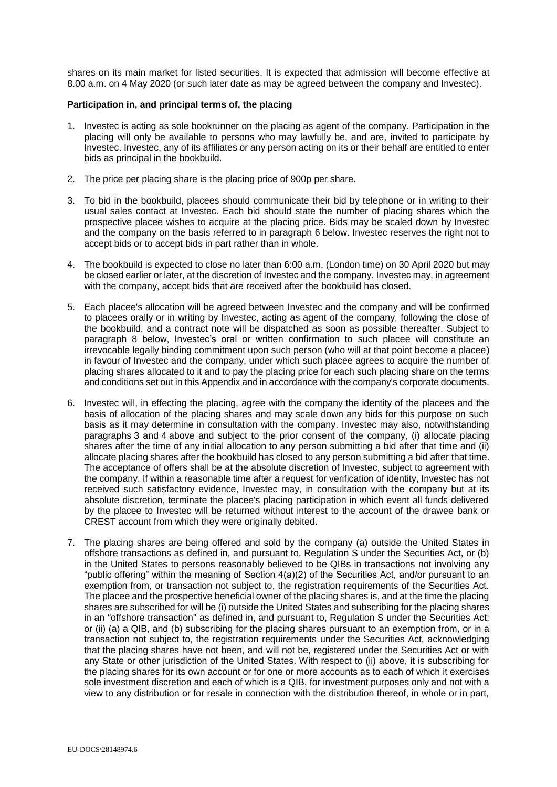shares on its main market for listed securities. It is expected that admission will become effective at 8.00 a.m. on 4 May 2020 (or such later date as may be agreed between the company and Investec).

### **Participation in, and principal terms of, the placing**

- 1. Investec is acting as sole bookrunner on the placing as agent of the company. Participation in the placing will only be available to persons who may lawfully be, and are, invited to participate by Investec. Investec, any of its affiliates or any person acting on its or their behalf are entitled to enter bids as principal in the bookbuild.
- 2. The price per placing share is the placing price of 900p per share.
- <span id="page-9-1"></span>3. To bid in the bookbuild, placees should communicate their bid by telephone or in writing to their usual sales contact at Investec. Each bid should state the number of placing shares which the prospective placee wishes to acquire at the placing price. Bids may be scaled down by Investec and the company on the basis referred to in paragraph [6](#page-9-0) below. Investec reserves the right not to accept bids or to accept bids in part rather than in whole.
- <span id="page-9-2"></span>4. The bookbuild is expected to close no later than 6:00 a.m. (London time) on 30 April 2020 but may be closed earlier or later, at the discretion of Investec and the company. Investec may, in agreement with the company, accept bids that are received after the bookbuild has closed.
- 5. Each placee's allocation will be agreed between Investec and the company and will be confirmed to placees orally or in writing by Investec, acting as agent of the company, following the close of the bookbuild, and a contract note will be dispatched as soon as possible thereafter. Subject to paragraph [8](#page-10-0) below, Investec's oral or written confirmation to such placee will constitute an irrevocable legally binding commitment upon such person (who will at that point become a placee) in favour of Investec and the company, under which such placee agrees to acquire the number of placing shares allocated to it and to pay the placing price for each such placing share on the terms and conditions set out in this Appendix and in accordance with the company's corporate documents.
- <span id="page-9-0"></span>6. Investec will, in effecting the placing, agree with the company the identity of the placees and the basis of allocation of the placing shares and may scale down any bids for this purpose on such basis as it may determine in consultation with the company. Investec may also, notwithstanding paragraphs [3](#page-9-1) and [4](#page-9-2) above and subject to the prior consent of the company, (i) allocate placing shares after the time of any initial allocation to any person submitting a bid after that time and (ii) allocate placing shares after the bookbuild has closed to any person submitting a bid after that time. The acceptance of offers shall be at the absolute discretion of Investec, subject to agreement with the company. If within a reasonable time after a request for verification of identity, Investec has not received such satisfactory evidence, Investec may, in consultation with the company but at its absolute discretion, terminate the placee's placing participation in which event all funds delivered by the placee to Investec will be returned without interest to the account of the drawee bank or CREST account from which they were originally debited.
- 7. The placing shares are being offered and sold by the company (a) outside the United States in offshore transactions as defined in, and pursuant to, Regulation S under the Securities Act, or (b) in the United States to persons reasonably believed to be QIBs in transactions not involving any "public offering" within the meaning of Section 4(a)(2) of the Securities Act, and/or pursuant to an exemption from, or transaction not subject to, the registration requirements of the Securities Act. The placee and the prospective beneficial owner of the placing shares is, and at the time the placing shares are subscribed for will be (i) outside the United States and subscribing for the placing shares in an "offshore transaction" as defined in, and pursuant to, Regulation S under the Securities Act; or (ii) (a) a QIB, and (b) subscribing for the placing shares pursuant to an exemption from, or in a transaction not subject to, the registration requirements under the Securities Act, acknowledging that the placing shares have not been, and will not be, registered under the Securities Act or with any State or other jurisdiction of the United States. With respect to (ii) above, it is subscribing for the placing shares for its own account or for one or more accounts as to each of which it exercises sole investment discretion and each of which is a QIB, for investment purposes only and not with a view to any distribution or for resale in connection with the distribution thereof, in whole or in part,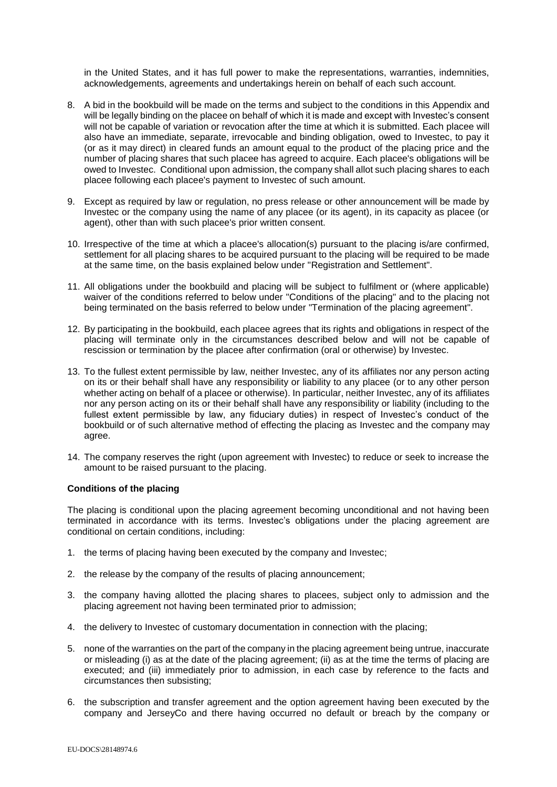in the United States, and it has full power to make the representations, warranties, indemnities, acknowledgements, agreements and undertakings herein on behalf of each such account.

- <span id="page-10-0"></span>8. A bid in the bookbuild will be made on the terms and subject to the conditions in this Appendix and will be legally binding on the placee on behalf of which it is made and except with Investec's consent will not be capable of variation or revocation after the time at which it is submitted. Each placee will also have an immediate, separate, irrevocable and binding obligation, owed to Investec, to pay it (or as it may direct) in cleared funds an amount equal to the product of the placing price and the number of placing shares that such placee has agreed to acquire. Each placee's obligations will be owed to Investec. Conditional upon admission, the company shall allot such placing shares to each placee following each placee's payment to Investec of such amount.
- 9. Except as required by law or regulation, no press release or other announcement will be made by Investec or the company using the name of any placee (or its agent), in its capacity as placee (or agent), other than with such placee's prior written consent.
- 10. Irrespective of the time at which a placee's allocation(s) pursuant to the placing is/are confirmed, settlement for all placing shares to be acquired pursuant to the placing will be required to be made at the same time, on the basis explained below under "Registration and Settlement".
- 11. All obligations under the bookbuild and placing will be subject to fulfilment or (where applicable) waiver of the conditions referred to below under "Conditions of the placing" and to the placing not being terminated on the basis referred to below under "Termination of the placing agreement".
- 12. By participating in the bookbuild, each placee agrees that its rights and obligations in respect of the placing will terminate only in the circumstances described below and will not be capable of rescission or termination by the placee after confirmation (oral or otherwise) by Investec.
- 13. To the fullest extent permissible by law, neither Investec, any of its affiliates nor any person acting on its or their behalf shall have any responsibility or liability to any placee (or to any other person whether acting on behalf of a placee or otherwise). In particular, neither Investec, any of its affiliates nor any person acting on its or their behalf shall have any responsibility or liability (including to the fullest extent permissible by law, any fiduciary duties) in respect of Investec's conduct of the bookbuild or of such alternative method of effecting the placing as Investec and the company may agree.
- 14. The company reserves the right (upon agreement with Investec) to reduce or seek to increase the amount to be raised pursuant to the placing.

### **Conditions of the placing**

The placing is conditional upon the placing agreement becoming unconditional and not having been terminated in accordance with its terms. Investec's obligations under the placing agreement are conditional on certain conditions, including:

- 1. the terms of placing having been executed by the company and Investec;
- 2. the release by the company of the results of placing announcement;
- 3. the company having allotted the placing shares to placees, subject only to admission and the placing agreement not having been terminated prior to admission;
- 4. the delivery to Investec of customary documentation in connection with the placing;
- 5. none of the warranties on the part of the company in the placing agreement being untrue, inaccurate or misleading (i) as at the date of the placing agreement; (ii) as at the time the terms of placing are executed; and (iii) immediately prior to admission, in each case by reference to the facts and circumstances then subsisting;
- 6. the subscription and transfer agreement and the option agreement having been executed by the company and JerseyCo and there having occurred no default or breach by the company or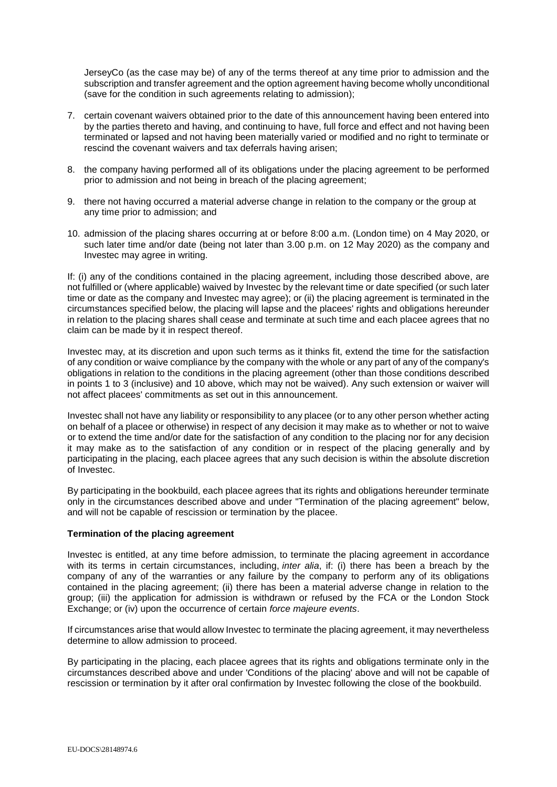JerseyCo (as the case may be) of any of the terms thereof at any time prior to admission and the subscription and transfer agreement and the option agreement having become wholly unconditional (save for the condition in such agreements relating to admission);

- 7. certain covenant waivers obtained prior to the date of this announcement having been entered into by the parties thereto and having, and continuing to have, full force and effect and not having been terminated or lapsed and not having been materially varied or modified and no right to terminate or rescind the covenant waivers and tax deferrals having arisen;
- 8. the company having performed all of its obligations under the placing agreement to be performed prior to admission and not being in breach of the placing agreement;
- 9. there not having occurred a material adverse change in relation to the company or the group at any time prior to admission; and
- 10. admission of the placing shares occurring at or before 8:00 a.m. (London time) on 4 May 2020, or such later time and/or date (being not later than 3.00 p.m. on 12 May 2020) as the company and Investec may agree in writing.

If: (i) any of the conditions contained in the placing agreement, including those described above, are not fulfilled or (where applicable) waived by Investec by the relevant time or date specified (or such later time or date as the company and Investec may agree); or (ii) the placing agreement is terminated in the circumstances specified below, the placing will lapse and the placees' rights and obligations hereunder in relation to the placing shares shall cease and terminate at such time and each placee agrees that no claim can be made by it in respect thereof.

Investec may, at its discretion and upon such terms as it thinks fit, extend the time for the satisfaction of any condition or waive compliance by the company with the whole or any part of any of the company's obligations in relation to the conditions in the placing agreement (other than those conditions described in points 1 to 3 (inclusive) and 10 above, which may not be waived). Any such extension or waiver will not affect placees' commitments as set out in this announcement.

Investec shall not have any liability or responsibility to any placee (or to any other person whether acting on behalf of a placee or otherwise) in respect of any decision it may make as to whether or not to waive or to extend the time and/or date for the satisfaction of any condition to the placing nor for any decision it may make as to the satisfaction of any condition or in respect of the placing generally and by participating in the placing, each placee agrees that any such decision is within the absolute discretion of Investec.

By participating in the bookbuild, each placee agrees that its rights and obligations hereunder terminate only in the circumstances described above and under "Termination of the placing agreement" below, and will not be capable of rescission or termination by the placee.

### **Termination of the placing agreement**

Investec is entitled, at any time before admission, to terminate the placing agreement in accordance with its terms in certain circumstances, including, *inter alia*, if: (i) there has been a breach by the company of any of the warranties or any failure by the company to perform any of its obligations contained in the placing agreement; (ii) there has been a material adverse change in relation to the group; (iii) the application for admission is withdrawn or refused by the FCA or the London Stock Exchange; or (iv) upon the occurrence of certain *force majeure events*.

If circumstances arise that would allow Investec to terminate the placing agreement, it may nevertheless determine to allow admission to proceed.

By participating in the placing, each placee agrees that its rights and obligations terminate only in the circumstances described above and under 'Conditions of the placing' above and will not be capable of rescission or termination by it after oral confirmation by Investec following the close of the bookbuild.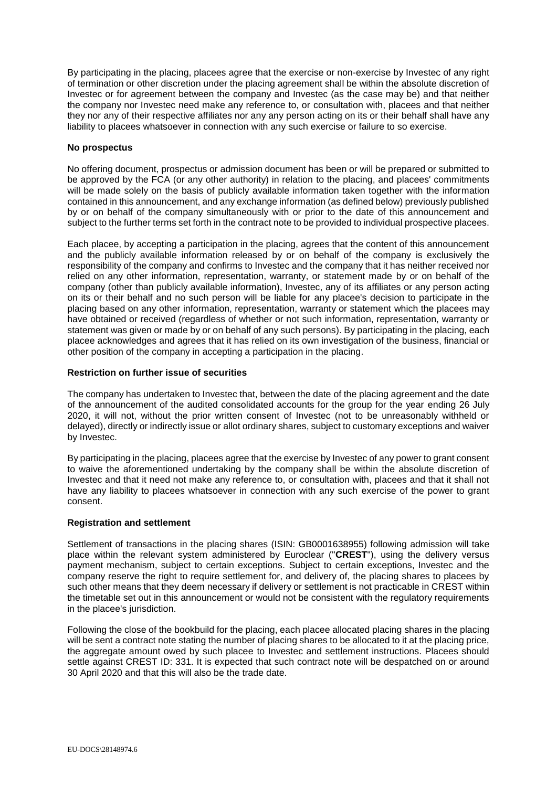By participating in the placing, placees agree that the exercise or non-exercise by Investec of any right of termination or other discretion under the placing agreement shall be within the absolute discretion of Investec or for agreement between the company and Investec (as the case may be) and that neither the company nor Investec need make any reference to, or consultation with, placees and that neither they nor any of their respective affiliates nor any any person acting on its or their behalf shall have any liability to placees whatsoever in connection with any such exercise or failure to so exercise.

## **No prospectus**

No offering document, prospectus or admission document has been or will be prepared or submitted to be approved by the FCA (or any other authority) in relation to the placing, and placees' commitments will be made solely on the basis of publicly available information taken together with the information contained in this announcement, and any exchange information (as defined below) previously published by or on behalf of the company simultaneously with or prior to the date of this announcement and subject to the further terms set forth in the contract note to be provided to individual prospective placees.

Each placee, by accepting a participation in the placing, agrees that the content of this announcement and the publicly available information released by or on behalf of the company is exclusively the responsibility of the company and confirms to Investec and the company that it has neither received nor relied on any other information, representation, warranty, or statement made by or on behalf of the company (other than publicly available information), Investec, any of its affiliates or any person acting on its or their behalf and no such person will be liable for any placee's decision to participate in the placing based on any other information, representation, warranty or statement which the placees may have obtained or received (regardless of whether or not such information, representation, warranty or statement was given or made by or on behalf of any such persons). By participating in the placing, each placee acknowledges and agrees that it has relied on its own investigation of the business, financial or other position of the company in accepting a participation in the placing.

## **Restriction on further issue of securities**

The company has undertaken to Investec that, between the date of the placing agreement and the date of the announcement of the audited consolidated accounts for the group for the year ending 26 July 2020, it will not, without the prior written consent of Investec (not to be unreasonably withheld or delayed), directly or indirectly issue or allot ordinary shares, subject to customary exceptions and waiver by Investec.

By participating in the placing, placees agree that the exercise by Investec of any power to grant consent to waive the aforementioned undertaking by the company shall be within the absolute discretion of Investec and that it need not make any reference to, or consultation with, placees and that it shall not have any liability to placees whatsoever in connection with any such exercise of the power to grant consent.

# **Registration and settlement**

Settlement of transactions in the placing shares (ISIN: GB0001638955) following admission will take place within the relevant system administered by Euroclear ("**CREST**"), using the delivery versus payment mechanism, subject to certain exceptions. Subject to certain exceptions, Investec and the company reserve the right to require settlement for, and delivery of, the placing shares to placees by such other means that they deem necessary if delivery or settlement is not practicable in CREST within the timetable set out in this announcement or would not be consistent with the regulatory requirements in the placee's jurisdiction.

Following the close of the bookbuild for the placing, each placee allocated placing shares in the placing will be sent a contract note stating the number of placing shares to be allocated to it at the placing price, the aggregate amount owed by such placee to Investec and settlement instructions. Placees should settle against CREST ID: 331. It is expected that such contract note will be despatched on or around 30 April 2020 and that this will also be the trade date.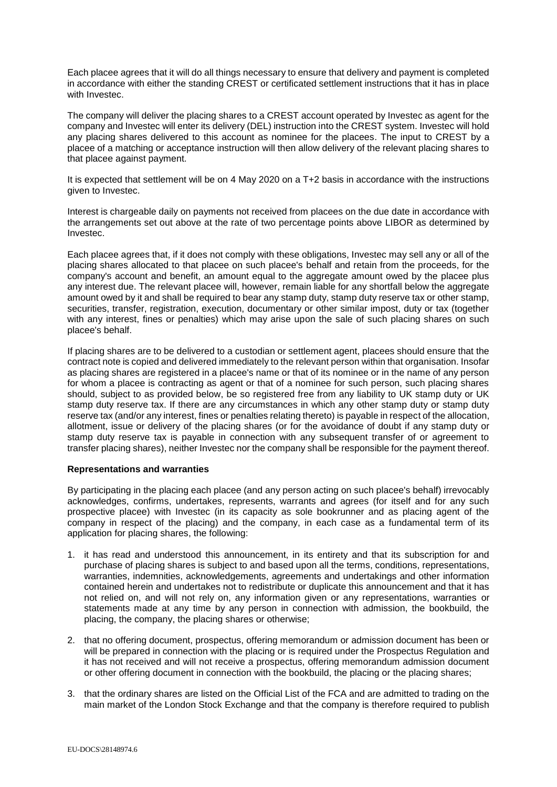Each placee agrees that it will do all things necessary to ensure that delivery and payment is completed in accordance with either the standing CREST or certificated settlement instructions that it has in place with Investec.

The company will deliver the placing shares to a CREST account operated by Investec as agent for the company and Investec will enter its delivery (DEL) instruction into the CREST system. Investec will hold any placing shares delivered to this account as nominee for the placees. The input to CREST by a placee of a matching or acceptance instruction will then allow delivery of the relevant placing shares to that placee against payment.

It is expected that settlement will be on 4 May 2020 on a T+2 basis in accordance with the instructions given to Investec.

Interest is chargeable daily on payments not received from placees on the due date in accordance with the arrangements set out above at the rate of two percentage points above LIBOR as determined by Investec.

Each placee agrees that, if it does not comply with these obligations, Investec may sell any or all of the placing shares allocated to that placee on such placee's behalf and retain from the proceeds, for the company's account and benefit, an amount equal to the aggregate amount owed by the placee plus any interest due. The relevant placee will, however, remain liable for any shortfall below the aggregate amount owed by it and shall be required to bear any stamp duty, stamp duty reserve tax or other stamp, securities, transfer, registration, execution, documentary or other similar impost, duty or tax (together with any interest, fines or penalties) which may arise upon the sale of such placing shares on such placee's behalf.

If placing shares are to be delivered to a custodian or settlement agent, placees should ensure that the contract note is copied and delivered immediately to the relevant person within that organisation. Insofar as placing shares are registered in a placee's name or that of its nominee or in the name of any person for whom a placee is contracting as agent or that of a nominee for such person, such placing shares should, subject to as provided below, be so registered free from any liability to UK stamp duty or UK stamp duty reserve tax. If there are any circumstances in which any other stamp duty or stamp duty reserve tax (and/or any interest, fines or penalties relating thereto) is payable in respect of the allocation, allotment, issue or delivery of the placing shares (or for the avoidance of doubt if any stamp duty or stamp duty reserve tax is payable in connection with any subsequent transfer of or agreement to transfer placing shares), neither Investec nor the company shall be responsible for the payment thereof.

### **Representations and warranties**

By participating in the placing each placee (and any person acting on such placee's behalf) irrevocably acknowledges, confirms, undertakes, represents, warrants and agrees (for itself and for any such prospective placee) with Investec (in its capacity as sole bookrunner and as placing agent of the company in respect of the placing) and the company, in each case as a fundamental term of its application for placing shares, the following:

- 1. it has read and understood this announcement, in its entirety and that its subscription for and purchase of placing shares is subject to and based upon all the terms, conditions, representations, warranties, indemnities, acknowledgements, agreements and undertakings and other information contained herein and undertakes not to redistribute or duplicate this announcement and that it has not relied on, and will not rely on, any information given or any representations, warranties or statements made at any time by any person in connection with admission, the bookbuild, the placing, the company, the placing shares or otherwise;
- 2. that no offering document, prospectus, offering memorandum or admission document has been or will be prepared in connection with the placing or is required under the Prospectus Regulation and it has not received and will not receive a prospectus, offering memorandum admission document or other offering document in connection with the bookbuild, the placing or the placing shares;
- 3. that the ordinary shares are listed on the Official List of the FCA and are admitted to trading on the main market of the London Stock Exchange and that the company is therefore required to publish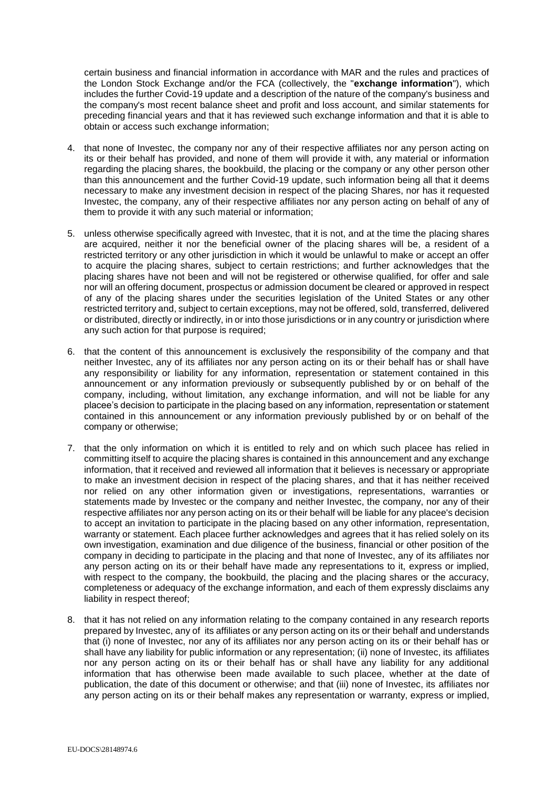certain business and financial information in accordance with MAR and the rules and practices of the London Stock Exchange and/or the FCA (collectively, the "**exchange information**"), which includes the further Covid-19 update and a description of the nature of the company's business and the company's most recent balance sheet and profit and loss account, and similar statements for preceding financial years and that it has reviewed such exchange information and that it is able to obtain or access such exchange information;

- 4. that none of Investec, the company nor any of their respective affiliates nor any person acting on its or their behalf has provided, and none of them will provide it with, any material or information regarding the placing shares, the bookbuild, the placing or the company or any other person other than this announcement and the further Covid-19 update, such information being all that it deems necessary to make any investment decision in respect of the placing Shares, nor has it requested Investec, the company, any of their respective affiliates nor any person acting on behalf of any of them to provide it with any such material or information;
- 5. unless otherwise specifically agreed with Investec, that it is not, and at the time the placing shares are acquired, neither it nor the beneficial owner of the placing shares will be, a resident of a restricted territory or any other jurisdiction in which it would be unlawful to make or accept an offer to acquire the placing shares, subject to certain restrictions; and further acknowledges that the placing shares have not been and will not be registered or otherwise qualified, for offer and sale nor will an offering document, prospectus or admission document be cleared or approved in respect of any of the placing shares under the securities legislation of the United States or any other restricted territory and, subject to certain exceptions, may not be offered, sold, transferred, delivered or distributed, directly or indirectly, in or into those jurisdictions or in any country or jurisdiction where any such action for that purpose is required;
- 6. that the content of this announcement is exclusively the responsibility of the company and that neither Investec, any of its affiliates nor any person acting on its or their behalf has or shall have any responsibility or liability for any information, representation or statement contained in this announcement or any information previously or subsequently published by or on behalf of the company, including, without limitation, any exchange information, and will not be liable for any placee's decision to participate in the placing based on any information, representation or statement contained in this announcement or any information previously published by or on behalf of the company or otherwise;
- 7. that the only information on which it is entitled to rely and on which such placee has relied in committing itself to acquire the placing shares is contained in this announcement and any exchange information, that it received and reviewed all information that it believes is necessary or appropriate to make an investment decision in respect of the placing shares, and that it has neither received nor relied on any other information given or investigations, representations, warranties or statements made by Investec or the company and neither Investec, the company, nor any of their respective affiliates nor any person acting on its or their behalf will be liable for any placee's decision to accept an invitation to participate in the placing based on any other information, representation, warranty or statement. Each placee further acknowledges and agrees that it has relied solely on its own investigation, examination and due diligence of the business, financial or other position of the company in deciding to participate in the placing and that none of Investec, any of its affiliates nor any person acting on its or their behalf have made any representations to it, express or implied, with respect to the company, the bookbuild, the placing and the placing shares or the accuracy, completeness or adequacy of the exchange information, and each of them expressly disclaims any liability in respect thereof;
- 8. that it has not relied on any information relating to the company contained in any research reports prepared by Investec, any of its affiliates or any person acting on its or their behalf and understands that (i) none of Investec, nor any of its affiliates nor any person acting on its or their behalf has or shall have any liability for public information or any representation; (ii) none of Investec, its affiliates nor any person acting on its or their behalf has or shall have any liability for any additional information that has otherwise been made available to such placee, whether at the date of publication, the date of this document or otherwise; and that (iii) none of Investec, its affiliates nor any person acting on its or their behalf makes any representation or warranty, express or implied,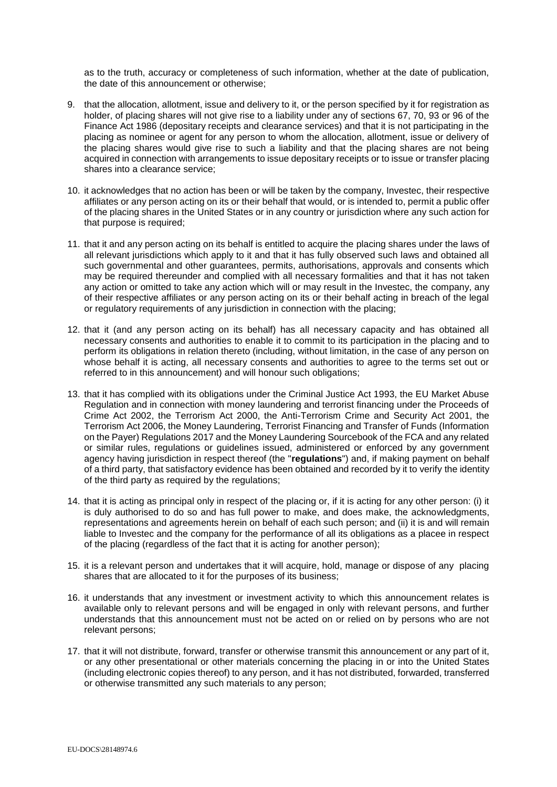as to the truth, accuracy or completeness of such information, whether at the date of publication, the date of this announcement or otherwise;

- 9. that the allocation, allotment, issue and delivery to it, or the person specified by it for registration as holder, of placing shares will not give rise to a liability under any of sections 67, 70, 93 or 96 of the Finance Act 1986 (depositary receipts and clearance services) and that it is not participating in the placing as nominee or agent for any person to whom the allocation, allotment, issue or delivery of the placing shares would give rise to such a liability and that the placing shares are not being acquired in connection with arrangements to issue depositary receipts or to issue or transfer placing shares into a clearance service;
- 10. it acknowledges that no action has been or will be taken by the company, Investec, their respective affiliates or any person acting on its or their behalf that would, or is intended to, permit a public offer of the placing shares in the United States or in any country or jurisdiction where any such action for that purpose is required;
- 11. that it and any person acting on its behalf is entitled to acquire the placing shares under the laws of all relevant jurisdictions which apply to it and that it has fully observed such laws and obtained all such governmental and other guarantees, permits, authorisations, approvals and consents which may be required thereunder and complied with all necessary formalities and that it has not taken any action or omitted to take any action which will or may result in the Investec, the company, any of their respective affiliates or any person acting on its or their behalf acting in breach of the legal or regulatory requirements of any jurisdiction in connection with the placing;
- 12. that it (and any person acting on its behalf) has all necessary capacity and has obtained all necessary consents and authorities to enable it to commit to its participation in the placing and to perform its obligations in relation thereto (including, without limitation, in the case of any person on whose behalf it is acting, all necessary consents and authorities to agree to the terms set out or referred to in this announcement) and will honour such obligations;
- 13. that it has complied with its obligations under the Criminal Justice Act 1993, the EU Market Abuse Regulation and in connection with money laundering and terrorist financing under the Proceeds of Crime Act 2002, the Terrorism Act 2000, the Anti-Terrorism Crime and Security Act 2001, the Terrorism Act 2006, the Money Laundering, Terrorist Financing and Transfer of Funds (Information on the Payer) Regulations 2017 and the Money Laundering Sourcebook of the FCA and any related or similar rules, regulations or guidelines issued, administered or enforced by any government agency having jurisdiction in respect thereof (the "**regulations**") and, if making payment on behalf of a third party, that satisfactory evidence has been obtained and recorded by it to verify the identity of the third party as required by the regulations;
- 14. that it is acting as principal only in respect of the placing or, if it is acting for any other person: (i) it is duly authorised to do so and has full power to make, and does make, the acknowledgments, representations and agreements herein on behalf of each such person; and (ii) it is and will remain liable to Investec and the company for the performance of all its obligations as a placee in respect of the placing (regardless of the fact that it is acting for another person);
- 15. it is a relevant person and undertakes that it will acquire, hold, manage or dispose of any placing shares that are allocated to it for the purposes of its business;
- 16. it understands that any investment or investment activity to which this announcement relates is available only to relevant persons and will be engaged in only with relevant persons, and further understands that this announcement must not be acted on or relied on by persons who are not relevant persons;
- 17. that it will not distribute, forward, transfer or otherwise transmit this announcement or any part of it, or any other presentational or other materials concerning the placing in or into the United States (including electronic copies thereof) to any person, and it has not distributed, forwarded, transferred or otherwise transmitted any such materials to any person;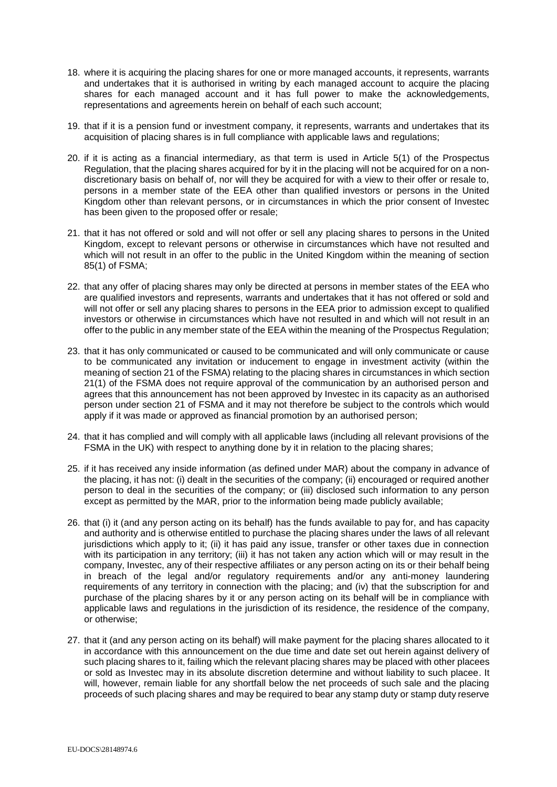- 18. where it is acquiring the placing shares for one or more managed accounts, it represents, warrants and undertakes that it is authorised in writing by each managed account to acquire the placing shares for each managed account and it has full power to make the acknowledgements, representations and agreements herein on behalf of each such account;
- 19. that if it is a pension fund or investment company, it represents, warrants and undertakes that its acquisition of placing shares is in full compliance with applicable laws and regulations;
- 20. if it is acting as a financial intermediary, as that term is used in Article 5(1) of the Prospectus Regulation, that the placing shares acquired for by it in the placing will not be acquired for on a nondiscretionary basis on behalf of, nor will they be acquired for with a view to their offer or resale to, persons in a member state of the EEA other than qualified investors or persons in the United Kingdom other than relevant persons, or in circumstances in which the prior consent of Investec has been given to the proposed offer or resale;
- 21. that it has not offered or sold and will not offer or sell any placing shares to persons in the United Kingdom, except to relevant persons or otherwise in circumstances which have not resulted and which will not result in an offer to the public in the United Kingdom within the meaning of section 85(1) of FSMA;
- 22. that any offer of placing shares may only be directed at persons in member states of the EEA who are qualified investors and represents, warrants and undertakes that it has not offered or sold and will not offer or sell any placing shares to persons in the EEA prior to admission except to qualified investors or otherwise in circumstances which have not resulted in and which will not result in an offer to the public in any member state of the EEA within the meaning of the Prospectus Regulation;
- 23. that it has only communicated or caused to be communicated and will only communicate or cause to be communicated any invitation or inducement to engage in investment activity (within the meaning of section 21 of the FSMA) relating to the placing shares in circumstances in which section 21(1) of the FSMA does not require approval of the communication by an authorised person and agrees that this announcement has not been approved by Investec in its capacity as an authorised person under section 21 of FSMA and it may not therefore be subject to the controls which would apply if it was made or approved as financial promotion by an authorised person;
- 24. that it has complied and will comply with all applicable laws (including all relevant provisions of the FSMA in the UK) with respect to anything done by it in relation to the placing shares;
- 25. if it has received any inside information (as defined under MAR) about the company in advance of the placing, it has not: (i) dealt in the securities of the company; (ii) encouraged or required another person to deal in the securities of the company; or (iii) disclosed such information to any person except as permitted by the MAR, prior to the information being made publicly available;
- 26. that (i) it (and any person acting on its behalf) has the funds available to pay for, and has capacity and authority and is otherwise entitled to purchase the placing shares under the laws of all relevant jurisdictions which apply to it; (ii) it has paid any issue, transfer or other taxes due in connection with its participation in any territory; (iii) it has not taken any action which will or may result in the company, Investec, any of their respective affiliates or any person acting on its or their behalf being in breach of the legal and/or regulatory requirements and/or any anti-money laundering requirements of any territory in connection with the placing; and (iv) that the subscription for and purchase of the placing shares by it or any person acting on its behalf will be in compliance with applicable laws and regulations in the jurisdiction of its residence, the residence of the company, or otherwise;
- 27. that it (and any person acting on its behalf) will make payment for the placing shares allocated to it in accordance with this announcement on the due time and date set out herein against delivery of such placing shares to it, failing which the relevant placing shares may be placed with other placees or sold as Investec may in its absolute discretion determine and without liability to such placee. It will, however, remain liable for any shortfall below the net proceeds of such sale and the placing proceeds of such placing shares and may be required to bear any stamp duty or stamp duty reserve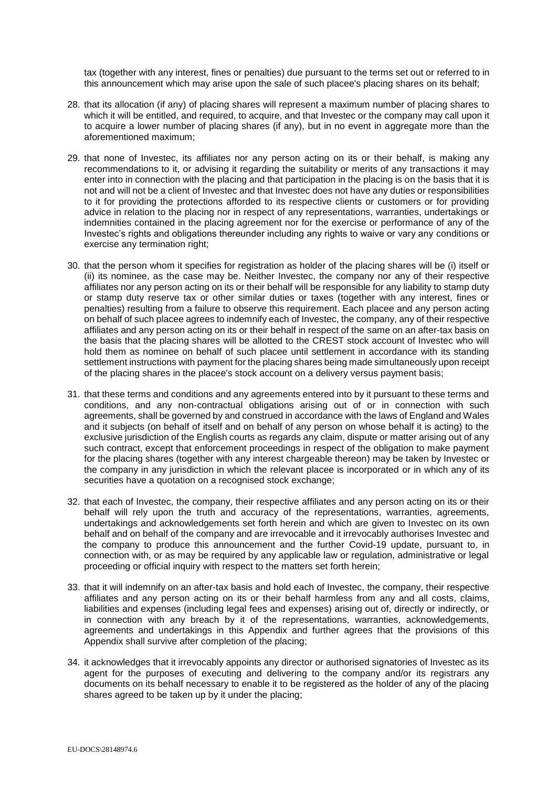tax (together with any interest, fines or penalties) due pursuant to the terms set out or referred to in this announcement which may arise upon the sale of such placee's placing shares on its behalf;

- 28. that its allocation (if any) of placing shares will represent a maximum number of placing shares to which it will be entitled, and required, to acquire, and that Investec or the company may call upon it to acquire a lower number of placing shares (if any), but in no event in aggregate more than the aforementioned maximum;
- 29. that none of Investec, its affiliates nor any person acting on its or their behalf, is making any recommendations to it, or advising it regarding the suitability or merits of any transactions it may enter into in connection with the placing and that participation in the placing is on the basis that it is not and will not be a client of Investec and that Investec does not have any duties or responsibilities to it for providing the protections afforded to its respective clients or customers or for providing advice in relation to the placing nor in respect of any representations, warranties, undertakings or indemnities contained in the placing agreement nor for the exercise or performance of any of the Investec's rights and obligations thereunder including any rights to waive or vary any conditions or exercise any termination right;
- 30. that the person whom it specifies for registration as holder of the placing shares will be (i) itself or (ii) its nominee, as the case may be. Neither Investec, the company nor any of their respective affiliates nor any person acting on its or their behalf will be responsible for any liability to stamp duty or stamp duty reserve tax or other similar duties or taxes (together with any interest, fines or penalties) resulting from a failure to observe this requirement. Each placee and any person acting on behalf of such placee agrees to indemnify each of Investec, the company, any of their respective affiliates and any person acting on its or their behalf in respect of the same on an after-tax basis on the basis that the placing shares will be allotted to the CREST stock account of Investec who will hold them as nominee on behalf of such placee until settlement in accordance with its standing settlement instructions with payment for the placing shares being made simultaneously upon receipt of the placing shares in the placee's stock account on a delivery versus payment basis;
- 31. that these terms and conditions and any agreements entered into by it pursuant to these terms and conditions, and any non-contractual obligations arising out of or in connection with such agreements, shall be governed by and construed in accordance with the laws of England and Wales and it subjects (on behalf of itself and on behalf of any person on whose behalf it is acting) to the exclusive jurisdiction of the English courts as regards any claim, dispute or matter arising out of any such contract, except that enforcement proceedings in respect of the obligation to make payment for the placing shares (together with any interest chargeable thereon) may be taken by Investec or the company in any jurisdiction in which the relevant placee is incorporated or in which any of its securities have a quotation on a recognised stock exchange;
- 32. that each of Investec, the company, their respective affiliates and any person acting on its or their behalf will rely upon the truth and accuracy of the representations, warranties, agreements, undertakings and acknowledgements set forth herein and which are given to Investec on its own behalf and on behalf of the company and are irrevocable and it irrevocably authorises Investec and the company to produce this announcement and the further Covid-19 update, pursuant to, in connection with, or as may be required by any applicable law or regulation, administrative or legal proceeding or official inquiry with respect to the matters set forth herein;
- 33. that it will indemnify on an after-tax basis and hold each of Investec, the company, their respective affiliates and any person acting on its or their behalf harmless from any and all costs, claims, liabilities and expenses (including legal fees and expenses) arising out of, directly or indirectly, or in connection with any breach by it of the representations, warranties, acknowledgements, agreements and undertakings in this Appendix and further agrees that the provisions of this Appendix shall survive after completion of the placing;
- 34. it acknowledges that it irrevocably appoints any director or authorised signatories of Investec as its agent for the purposes of executing and delivering to the company and/or its registrars any documents on its behalf necessary to enable it to be registered as the holder of any of the placing shares agreed to be taken up by it under the placing;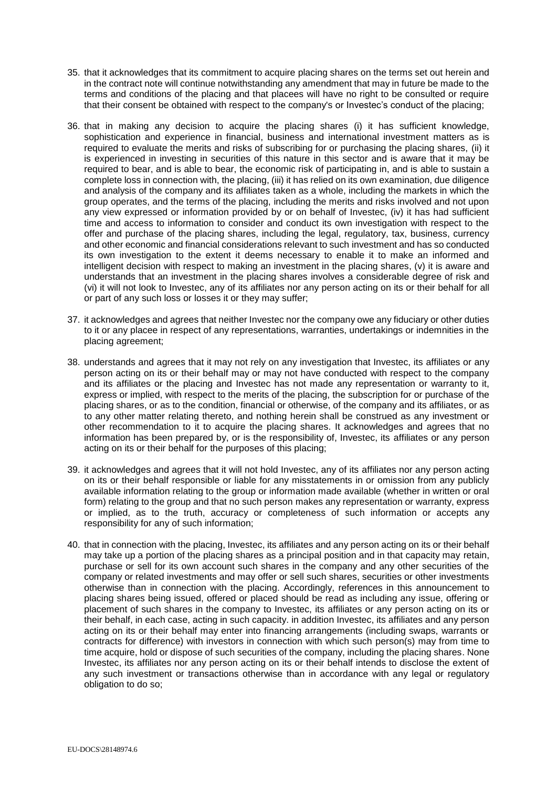- 35. that it acknowledges that its commitment to acquire placing shares on the terms set out herein and in the contract note will continue notwithstanding any amendment that may in future be made to the terms and conditions of the placing and that placees will have no right to be consulted or require that their consent be obtained with respect to the company's or Investec's conduct of the placing;
- 36. that in making any decision to acquire the placing shares (i) it has sufficient knowledge, sophistication and experience in financial, business and international investment matters as is required to evaluate the merits and risks of subscribing for or purchasing the placing shares, (ii) it is experienced in investing in securities of this nature in this sector and is aware that it may be required to bear, and is able to bear, the economic risk of participating in, and is able to sustain a complete loss in connection with, the placing, (iii) it has relied on its own examination, due diligence and analysis of the company and its affiliates taken as a whole, including the markets in which the group operates, and the terms of the placing, including the merits and risks involved and not upon any view expressed or information provided by or on behalf of Investec, (iv) it has had sufficient time and access to information to consider and conduct its own investigation with respect to the offer and purchase of the placing shares, including the legal, regulatory, tax, business, currency and other economic and financial considerations relevant to such investment and has so conducted its own investigation to the extent it deems necessary to enable it to make an informed and intelligent decision with respect to making an investment in the placing shares, (v) it is aware and understands that an investment in the placing shares involves a considerable degree of risk and (vi) it will not look to Investec, any of its affiliates nor any person acting on its or their behalf for all or part of any such loss or losses it or they may suffer;
- 37. it acknowledges and agrees that neither Investec nor the company owe any fiduciary or other duties to it or any placee in respect of any representations, warranties, undertakings or indemnities in the placing agreement;
- 38. understands and agrees that it may not rely on any investigation that Investec, its affiliates or any person acting on its or their behalf may or may not have conducted with respect to the company and its affiliates or the placing and Investec has not made any representation or warranty to it, express or implied, with respect to the merits of the placing, the subscription for or purchase of the placing shares, or as to the condition, financial or otherwise, of the company and its affiliates, or as to any other matter relating thereto, and nothing herein shall be construed as any investment or other recommendation to it to acquire the placing shares. It acknowledges and agrees that no information has been prepared by, or is the responsibility of, Investec, its affiliates or any person acting on its or their behalf for the purposes of this placing;
- 39. it acknowledges and agrees that it will not hold Investec, any of its affiliates nor any person acting on its or their behalf responsible or liable for any misstatements in or omission from any publicly available information relating to the group or information made available (whether in written or oral form) relating to the group and that no such person makes any representation or warranty, express or implied, as to the truth, accuracy or completeness of such information or accepts any responsibility for any of such information;
- 40. that in connection with the placing, Investec, its affiliates and any person acting on its or their behalf may take up a portion of the placing shares as a principal position and in that capacity may retain, purchase or sell for its own account such shares in the company and any other securities of the company or related investments and may offer or sell such shares, securities or other investments otherwise than in connection with the placing. Accordingly, references in this announcement to placing shares being issued, offered or placed should be read as including any issue, offering or placement of such shares in the company to Investec, its affiliates or any person acting on its or their behalf, in each case, acting in such capacity. in addition Investec, its affiliates and any person acting on its or their behalf may enter into financing arrangements (including swaps, warrants or contracts for difference) with investors in connection with which such person(s) may from time to time acquire, hold or dispose of such securities of the company, including the placing shares. None Investec, its affiliates nor any person acting on its or their behalf intends to disclose the extent of any such investment or transactions otherwise than in accordance with any legal or regulatory obligation to do so;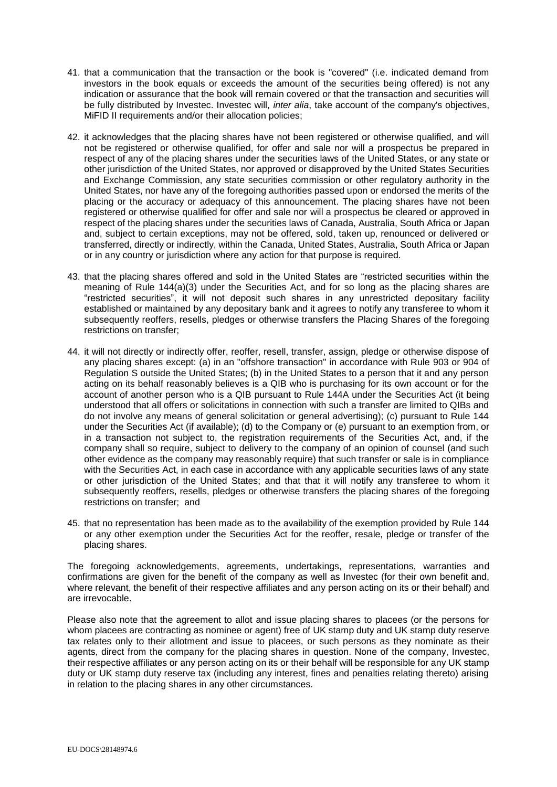- 41. that a communication that the transaction or the book is "covered" (i.e. indicated demand from investors in the book equals or exceeds the amount of the securities being offered) is not any indication or assurance that the book will remain covered or that the transaction and securities will be fully distributed by Investec. Investec will, *inter alia*, take account of the company's objectives, MiFID II requirements and/or their allocation policies:
- 42. it acknowledges that the placing shares have not been registered or otherwise qualified, and will not be registered or otherwise qualified, for offer and sale nor will a prospectus be prepared in respect of any of the placing shares under the securities laws of the United States, or any state or other jurisdiction of the United States, nor approved or disapproved by the United States Securities and Exchange Commission, any state securities commission or other regulatory authority in the United States, nor have any of the foregoing authorities passed upon or endorsed the merits of the placing or the accuracy or adequacy of this announcement. The placing shares have not been registered or otherwise qualified for offer and sale nor will a prospectus be cleared or approved in respect of the placing shares under the securities laws of Canada, Australia, South Africa or Japan and, subject to certain exceptions, may not be offered, sold, taken up, renounced or delivered or transferred, directly or indirectly, within the Canada, United States, Australia, South Africa or Japan or in any country or jurisdiction where any action for that purpose is required.
- 43. that the placing shares offered and sold in the United States are "restricted securities within the meaning of Rule 144(a)(3) under the Securities Act, and for so long as the placing shares are "restricted securities", it will not deposit such shares in any unrestricted depositary facility established or maintained by any depositary bank and it agrees to notify any transferee to whom it subsequently reoffers, resells, pledges or otherwise transfers the Placing Shares of the foregoing restrictions on transfer;
- 44. it will not directly or indirectly offer, reoffer, resell, transfer, assign, pledge or otherwise dispose of any placing shares except: (a) in an "offshore transaction" in accordance with Rule 903 or 904 of Regulation S outside the United States; (b) in the United States to a person that it and any person acting on its behalf reasonably believes is a QIB who is purchasing for its own account or for the account of another person who is a QIB pursuant to Rule 144A under the Securities Act (it being understood that all offers or solicitations in connection with such a transfer are limited to QIBs and do not involve any means of general solicitation or general advertising); (c) pursuant to Rule 144 under the Securities Act (if available); (d) to the Company or (e) pursuant to an exemption from, or in a transaction not subject to, the registration requirements of the Securities Act, and, if the company shall so require, subject to delivery to the company of an opinion of counsel (and such other evidence as the company may reasonably require) that such transfer or sale is in compliance with the Securities Act, in each case in accordance with any applicable securities laws of any state or other jurisdiction of the United States; and that that it will notify any transferee to whom it subsequently reoffers, resells, pledges or otherwise transfers the placing shares of the foregoing restrictions on transfer; and
- 45. that no representation has been made as to the availability of the exemption provided by Rule 144 or any other exemption under the Securities Act for the reoffer, resale, pledge or transfer of the placing shares.

The foregoing acknowledgements, agreements, undertakings, representations, warranties and confirmations are given for the benefit of the company as well as Investec (for their own benefit and, where relevant, the benefit of their respective affiliates and any person acting on its or their behalf) and are irrevocable.

Please also note that the agreement to allot and issue placing shares to placees (or the persons for whom placees are contracting as nominee or agent) free of UK stamp duty and UK stamp duty reserve tax relates only to their allotment and issue to placees, or such persons as they nominate as their agents, direct from the company for the placing shares in question. None of the company, Investec, their respective affiliates or any person acting on its or their behalf will be responsible for any UK stamp duty or UK stamp duty reserve tax (including any interest, fines and penalties relating thereto) arising in relation to the placing shares in any other circumstances.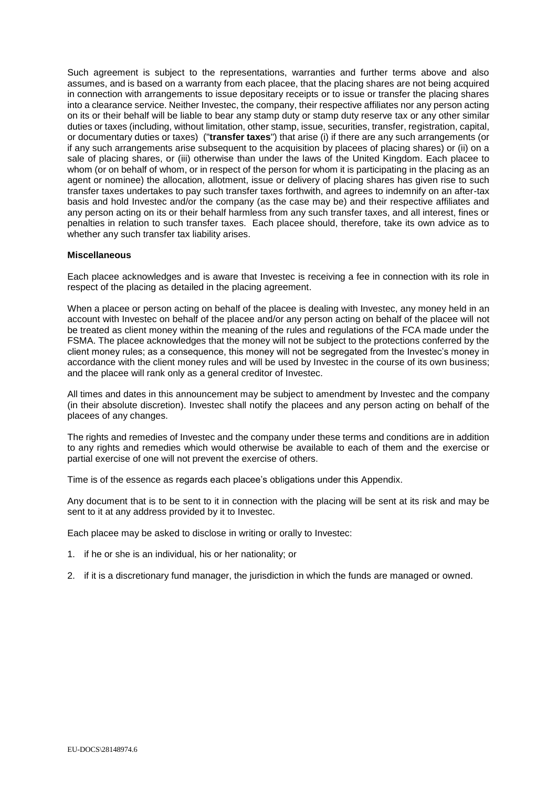Such agreement is subject to the representations, warranties and further terms above and also assumes, and is based on a warranty from each placee, that the placing shares are not being acquired in connection with arrangements to issue depositary receipts or to issue or transfer the placing shares into a clearance service. Neither Investec, the company, their respective affiliates nor any person acting on its or their behalf will be liable to bear any stamp duty or stamp duty reserve tax or any other similar duties or taxes (including, without limitation, other stamp, issue, securities, transfer, registration, capital, or documentary duties or taxes) ("**transfer taxes**") that arise (i) if there are any such arrangements (or if any such arrangements arise subsequent to the acquisition by placees of placing shares) or (ii) on a sale of placing shares, or (iii) otherwise than under the laws of the United Kingdom. Each placee to whom (or on behalf of whom, or in respect of the person for whom it is participating in the placing as an agent or nominee) the allocation, allotment, issue or delivery of placing shares has given rise to such transfer taxes undertakes to pay such transfer taxes forthwith, and agrees to indemnify on an after-tax basis and hold Investec and/or the company (as the case may be) and their respective affiliates and any person acting on its or their behalf harmless from any such transfer taxes, and all interest, fines or penalties in relation to such transfer taxes. Each placee should, therefore, take its own advice as to whether any such transfer tax liability arises.

### **Miscellaneous**

Each placee acknowledges and is aware that Investec is receiving a fee in connection with its role in respect of the placing as detailed in the placing agreement.

When a placee or person acting on behalf of the placee is dealing with Investec, any money held in an account with Investec on behalf of the placee and/or any person acting on behalf of the placee will not be treated as client money within the meaning of the rules and regulations of the FCA made under the FSMA. The placee acknowledges that the money will not be subject to the protections conferred by the client money rules; as a consequence, this money will not be segregated from the Investec's money in accordance with the client money rules and will be used by Investec in the course of its own business; and the placee will rank only as a general creditor of Investec.

All times and dates in this announcement may be subject to amendment by Investec and the company (in their absolute discretion). Investec shall notify the placees and any person acting on behalf of the placees of any changes.

The rights and remedies of Investec and the company under these terms and conditions are in addition to any rights and remedies which would otherwise be available to each of them and the exercise or partial exercise of one will not prevent the exercise of others.

Time is of the essence as regards each placee's obligations under this Appendix.

Any document that is to be sent to it in connection with the placing will be sent at its risk and may be sent to it at any address provided by it to Investec.

Each placee may be asked to disclose in writing or orally to Investec:

- 1. if he or she is an individual, his or her nationality; or
- 2. if it is a discretionary fund manager, the jurisdiction in which the funds are managed or owned.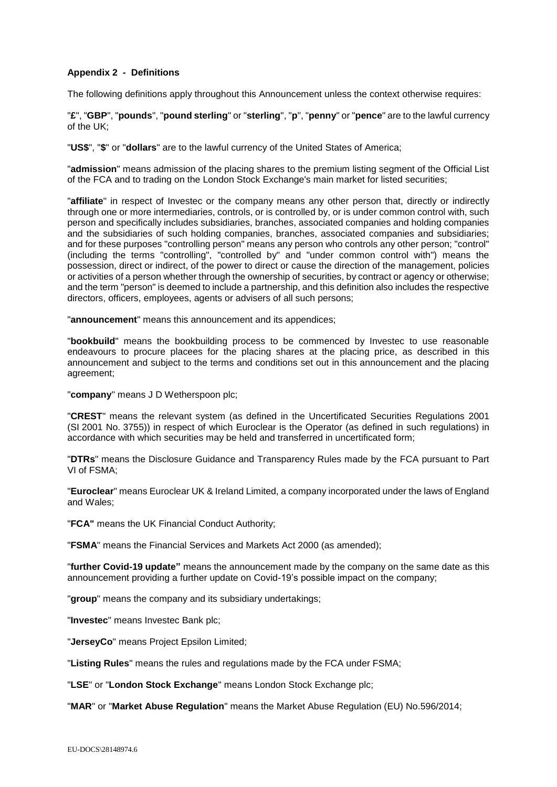## **Appendix 2 - Definitions**

The following definitions apply throughout this Announcement unless the context otherwise requires:

"**£**", "**GBP**", "**pounds**", "**pound sterling**" or "**sterling**", "**p**", "**penny**" or "**pence**" are to the lawful currency of the UK;

"**US\$**", "**\$**" or "**dollars**" are to the lawful currency of the United States of America;

"**admission**" means admission of the placing shares to the premium listing segment of the Official List of the FCA and to trading on the London Stock Exchange's main market for listed securities;

"**affiliate**" in respect of Investec or the company means any other person that, directly or indirectly through one or more intermediaries, controls, or is controlled by, or is under common control with, such person and specifically includes subsidiaries, branches, associated companies and holding companies and the subsidiaries of such holding companies, branches, associated companies and subsidiaries; and for these purposes "controlling person" means any person who controls any other person; "control" (including the terms "controlling", "controlled by" and "under common control with") means the possession, direct or indirect, of the power to direct or cause the direction of the management, policies or activities of a person whether through the ownership of securities, by contract or agency or otherwise; and the term "person" is deemed to include a partnership, and this definition also includes the respective directors, officers, employees, agents or advisers of all such persons;

"**announcement**" means this announcement and its appendices;

"**bookbuild**" means the bookbuilding process to be commenced by Investec to use reasonable endeavours to procure placees for the placing shares at the placing price, as described in this announcement and subject to the terms and conditions set out in this announcement and the placing agreement;

"**company**" means J D Wetherspoon plc;

"**CREST**" means the relevant system (as defined in the Uncertificated Securities Regulations 2001 (SI 2001 No. 3755)) in respect of which Euroclear is the Operator (as defined in such regulations) in accordance with which securities may be held and transferred in uncertificated form;

"**DTRs**" means the Disclosure Guidance and Transparency Rules made by the FCA pursuant to Part VI of FSMA;

"**Euroclear**" means Euroclear UK & Ireland Limited, a company incorporated under the laws of England and Wales;

"**FCA"** means the UK Financial Conduct Authority;

"**FSMA**" means the Financial Services and Markets Act 2000 (as amended);

"**further Covid-19 update"** means the announcement made by the company on the same date as this announcement providing a further update on Covid-19's possible impact on the company;

"**group**" means the company and its subsidiary undertakings;

"**Investec**" means Investec Bank plc;

"**JerseyCo**" means Project Epsilon Limited;

"**Listing Rules**" means the rules and regulations made by the FCA under FSMA;

"**LSE**" or "**London Stock Exchange**" means London Stock Exchange plc;

"**MAR**" or "**Market Abuse Regulation**" means the Market Abuse Regulation (EU) No.596/2014;